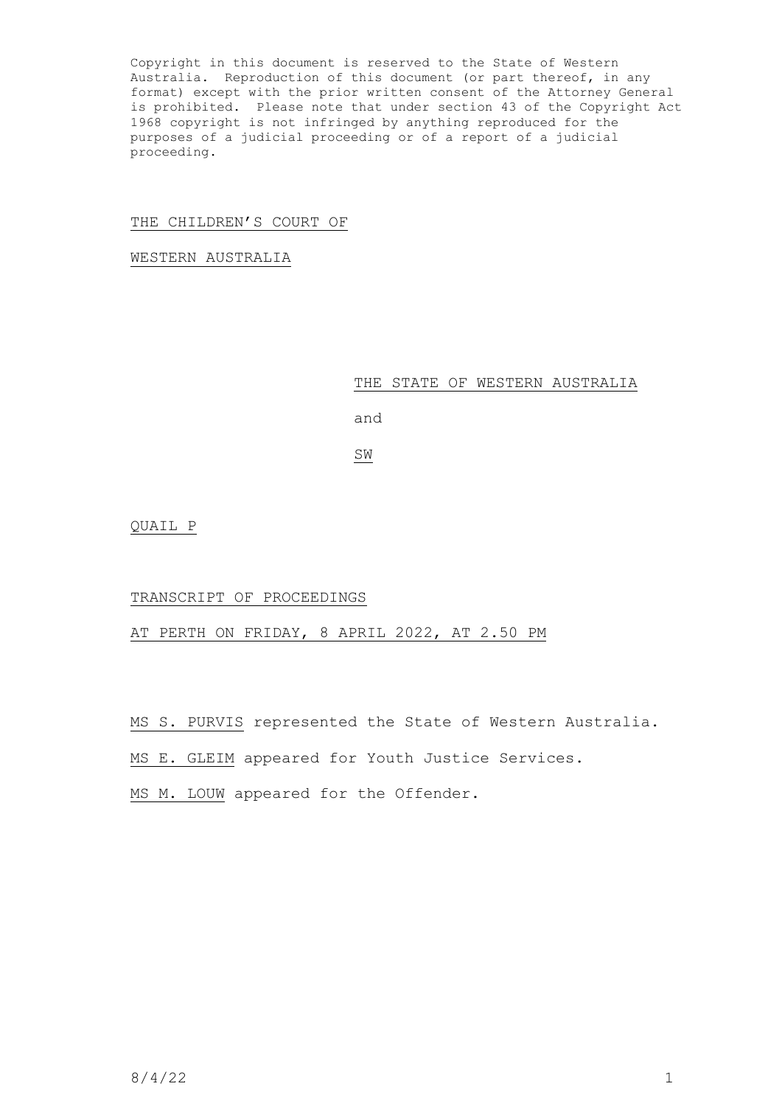Copyright in this document is reserved to the State of Western Australia. Reproduction of this document (or part thereof, in any format) except with the prior written consent of the Attorney General is prohibited. Please note that under section 43 of the Copyright Act 1968 copyright is not infringed by anything reproduced for the purposes of a judicial proceeding or of a report of a judicial proceeding.

# THE CHILDREN'S COURT OF

WESTERN AUSTRALIA

### THE STATE OF WESTERN AUSTRALIA

and

SW

QUAIL P

### TRANSCRIPT OF PROCEEDINGS

AT PERTH ON FRIDAY, 8 APRIL 2022, AT 2.50 PM

MS S. PURVIS represented the State of Western Australia.

MS E. GLEIM appeared for Youth Justice Services.

MS M. LOUW appeared for the Offender.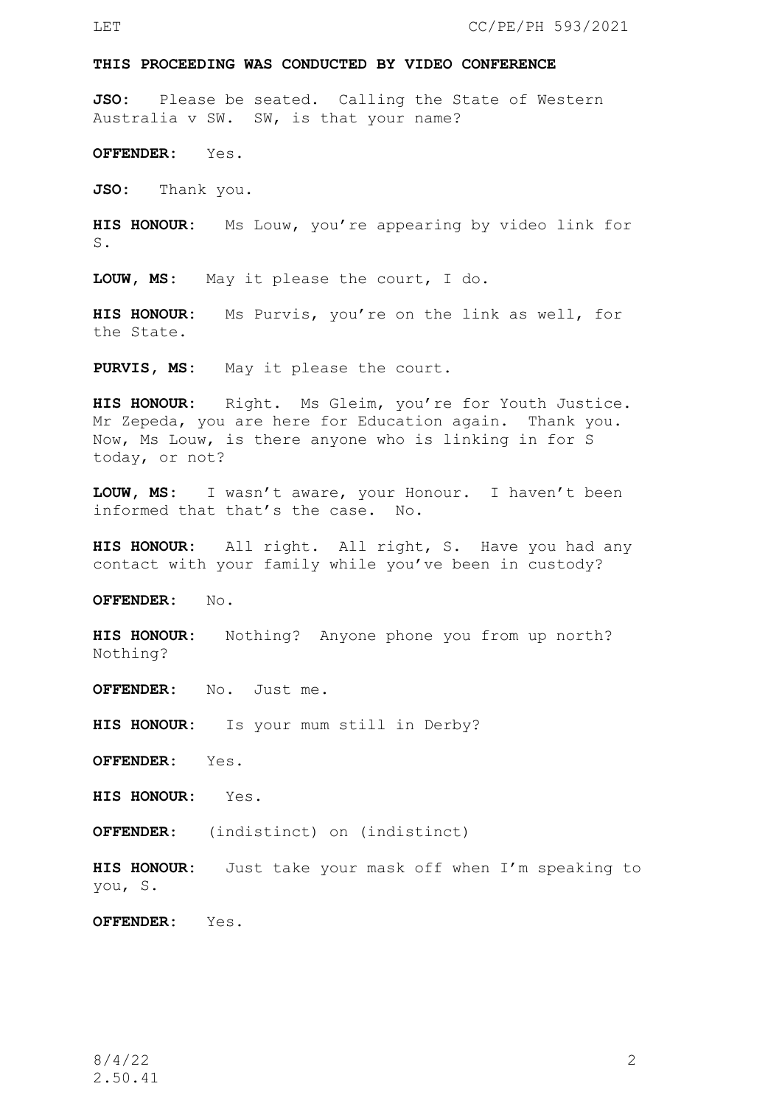#### **THIS PROCEEDING WAS CONDUCTED BY VIDEO CONFERENCE**

**JSO:** Please be seated. Calling the State of Western Australia v SW. SW, is that your name?

**OFFENDER:** Yes.

**JSO:** Thank you.

**HIS HONOUR:** Ms Louw, you're appearing by video link for S.

**LOUW, MS:** May it please the court, I do.

**HIS HONOUR:** Ms Purvis, you're on the link as well, for the State.

PURVIS, MS: May it please the court.

**HIS HONOUR:** Right. Ms Gleim, you're for Youth Justice. Mr Zepeda, you are here for Education again. Thank you. Now, Ms Louw, is there anyone who is linking in for S today, or not?

**LOUW, MS:** I wasn't aware, your Honour. I haven't been informed that that's the case. No.

**HIS HONOUR:** All right. All right, S. Have you had any contact with your family while you've been in custody?

**OFFENDER:** No.

**HIS HONOUR:** Nothing? Anyone phone you from up north? Nothing?

**OFFENDER:** No. Just me.

**HIS HONOUR:** Is your mum still in Derby?

**OFFENDER:** Yes.

**HIS HONOUR:** Yes.

**OFFENDER**: (indistinct) on (indistinct)

**HIS HONOUR:** Just take your mask off when I'm speaking to you, S.

**OFFENDER:** Yes.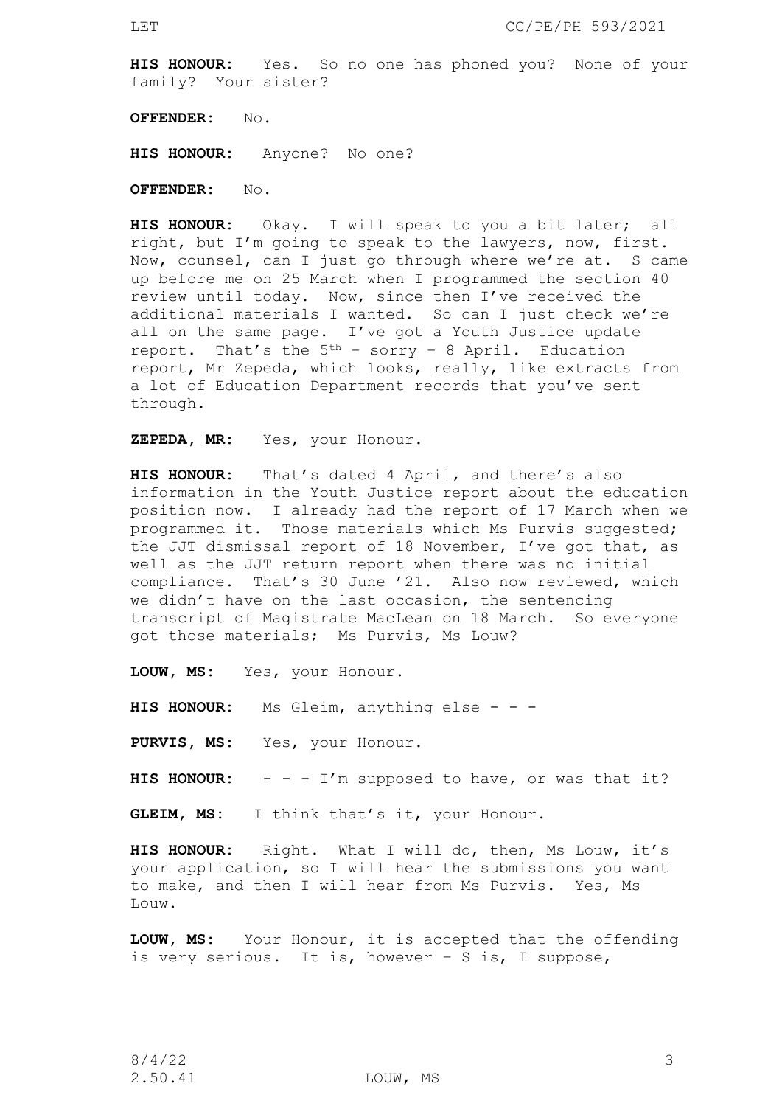**HIS HONOUR:** Yes. So no one has phoned you? None of your family? Your sister?

**OFFENDER:** No.

**HIS HONOUR:** Anyone? No one?

**OFFENDER:** No.

**HIS HONOUR:** Okay. I will speak to you a bit later; all right, but I'm going to speak to the lawyers, now, first. Now, counsel, can I just go through where we're at. S came up before me on 25 March when I programmed the section 40 review until today. Now, since then I've received the additional materials I wanted. So can I just check we're all on the same page. I've got a Youth Justice update report. That's the  $5<sup>th</sup>$  – sorry – 8 April. Education report, Mr Zepeda, which looks, really, like extracts from a lot of Education Department records that you've sent through.

**ZEPEDA, MR:** Yes, your Honour.

**HIS HONOUR:** That's dated 4 April, and there's also information in the Youth Justice report about the education position now. I already had the report of 17 March when we programmed it. Those materials which Ms Purvis suggested; the JJT dismissal report of 18 November, I've got that, as well as the JJT return report when there was no initial compliance. That's 30 June '21. Also now reviewed, which we didn't have on the last occasion, the sentencing transcript of Magistrate MacLean on 18 March. So everyone got those materials; Ms Purvis, Ms Louw?

**LOUW, MS:** Yes, your Honour.

**HIS HONOUR:** Ms Gleim, anything else - - -

**PURVIS, MS:** Yes, your Honour.

HIS HONOUR: - - - I'm supposed to have, or was that it?

**GLEIM, MS:** I think that's it, your Honour.

**HIS HONOUR:** Right. What I will do, then, Ms Louw, it's your application, so I will hear the submissions you want to make, and then I will hear from Ms Purvis. Yes, Ms Louw.

**LOUW, MS:** Your Honour, it is accepted that the offending is very serious. It is, however – S is, I suppose,

2.50.41 LOUW, MS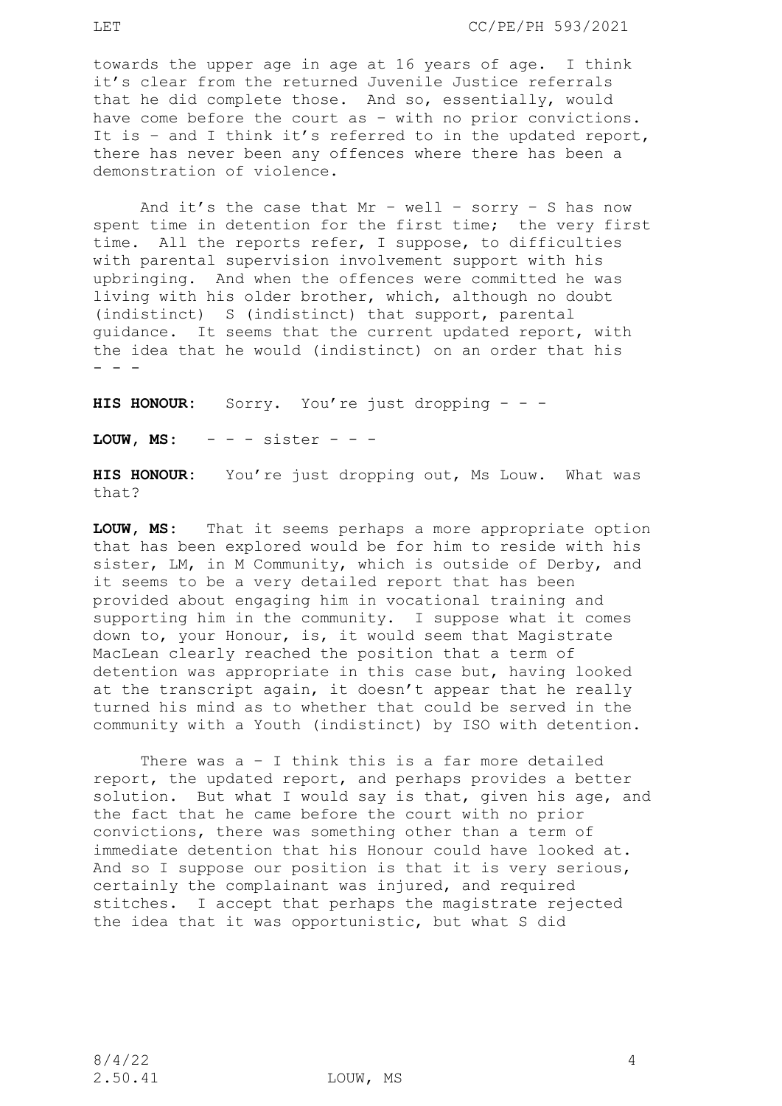towards the upper age in age at 16 years of age. I think it's clear from the returned Juvenile Justice referrals that he did complete those. And so, essentially, would have come before the court as – with no prior convictions. It is – and I think it's referred to in the updated report, there has never been any offences where there has been a demonstration of violence.

And it's the case that  $Mr - well - sorry - S$  has now spent time in detention for the first time; the very first time. All the reports refer, I suppose, to difficulties with parental supervision involvement support with his upbringing. And when the offences were committed he was living with his older brother, which, although no doubt (indistinct) S (indistinct) that support, parental guidance. It seems that the current updated report, with the idea that he would (indistinct) on an order that his - - -

**HIS HONOUR:** Sorry. You're just dropping - - -

**LOUW, MS:**  $-$  -  $-$  sister - - -

**HIS HONOUR:** You're just dropping out, Ms Louw. What was that?

**LOUW, MS:** That it seems perhaps a more appropriate option that has been explored would be for him to reside with his sister, LM, in M Community, which is outside of Derby, and it seems to be a very detailed report that has been provided about engaging him in vocational training and supporting him in the community. I suppose what it comes down to, your Honour, is, it would seem that Magistrate MacLean clearly reached the position that a term of detention was appropriate in this case but, having looked at the transcript again, it doesn't appear that he really turned his mind as to whether that could be served in the community with a Youth (indistinct) by ISO with detention.

There was  $a - I$  think this is a far more detailed report, the updated report, and perhaps provides a better solution. But what I would say is that, given his age, and the fact that he came before the court with no prior convictions, there was something other than a term of immediate detention that his Honour could have looked at. And so I suppose our position is that it is very serious, certainly the complainant was injured, and required stitches. I accept that perhaps the magistrate rejected the idea that it was opportunistic, but what S did

2.50.41 LOUW, MS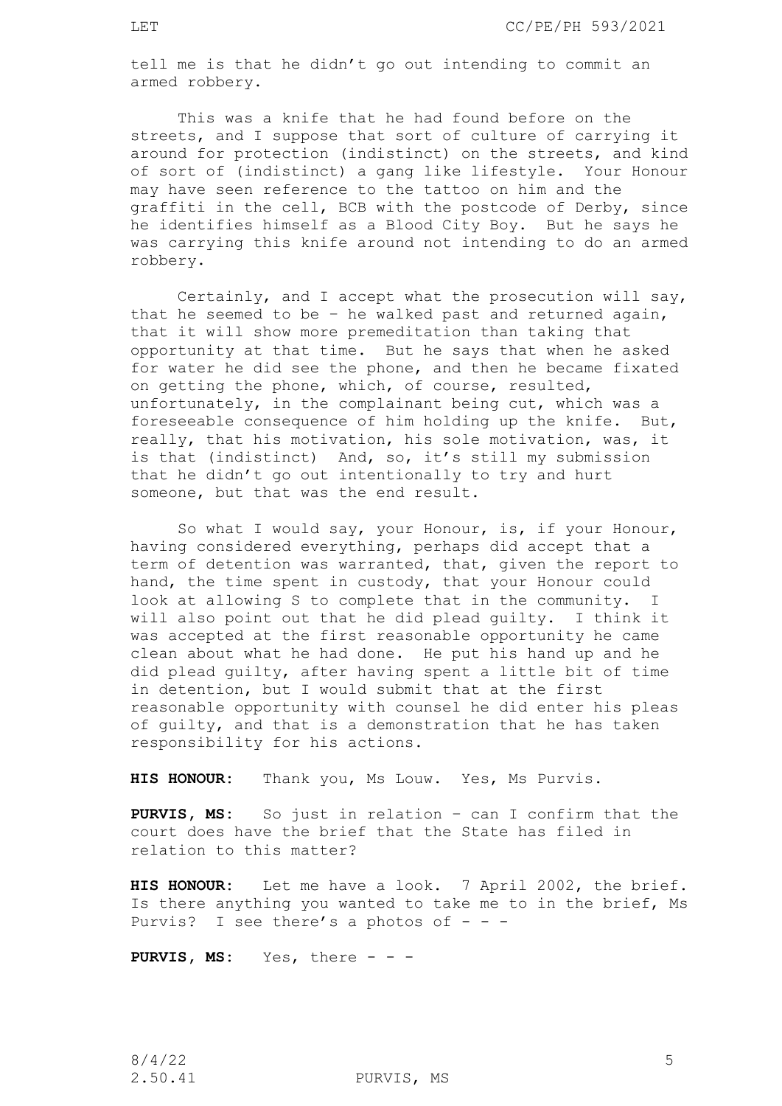tell me is that he didn't go out intending to commit an armed robbery.

This was a knife that he had found before on the streets, and I suppose that sort of culture of carrying it around for protection (indistinct) on the streets, and kind of sort of (indistinct) a gang like lifestyle. Your Honour may have seen reference to the tattoo on him and the graffiti in the cell, BCB with the postcode of Derby, since he identifies himself as a Blood City Boy. But he says he was carrying this knife around not intending to do an armed robbery.

Certainly, and I accept what the prosecution will say, that he seemed to be – he walked past and returned again, that it will show more premeditation than taking that opportunity at that time. But he says that when he asked for water he did see the phone, and then he became fixated on getting the phone, which, of course, resulted, unfortunately, in the complainant being cut, which was a foreseeable consequence of him holding up the knife. But, really, that his motivation, his sole motivation, was, it is that (indistinct) And, so, it's still my submission that he didn't go out intentionally to try and hurt someone, but that was the end result.

So what I would say, your Honour, is, if your Honour, having considered everything, perhaps did accept that a term of detention was warranted, that, given the report to hand, the time spent in custody, that your Honour could look at allowing S to complete that in the community. I will also point out that he did plead guilty. I think it was accepted at the first reasonable opportunity he came clean about what he had done. He put his hand up and he did plead guilty, after having spent a little bit of time in detention, but I would submit that at the first reasonable opportunity with counsel he did enter his pleas of guilty, and that is a demonstration that he has taken responsibility for his actions.

**HIS HONOUR:** Thank you, Ms Louw. Yes, Ms Purvis.

**PURVIS, MS:** So just in relation – can I confirm that the court does have the brief that the State has filed in relation to this matter?

**HIS HONOUR:** Let me have a look. 7 April 2002, the brief. Is there anything you wanted to take me to in the brief, Ms Purvis? I see there's a photos of  $- -$ 

PURVIS, MS: Yes, there - - -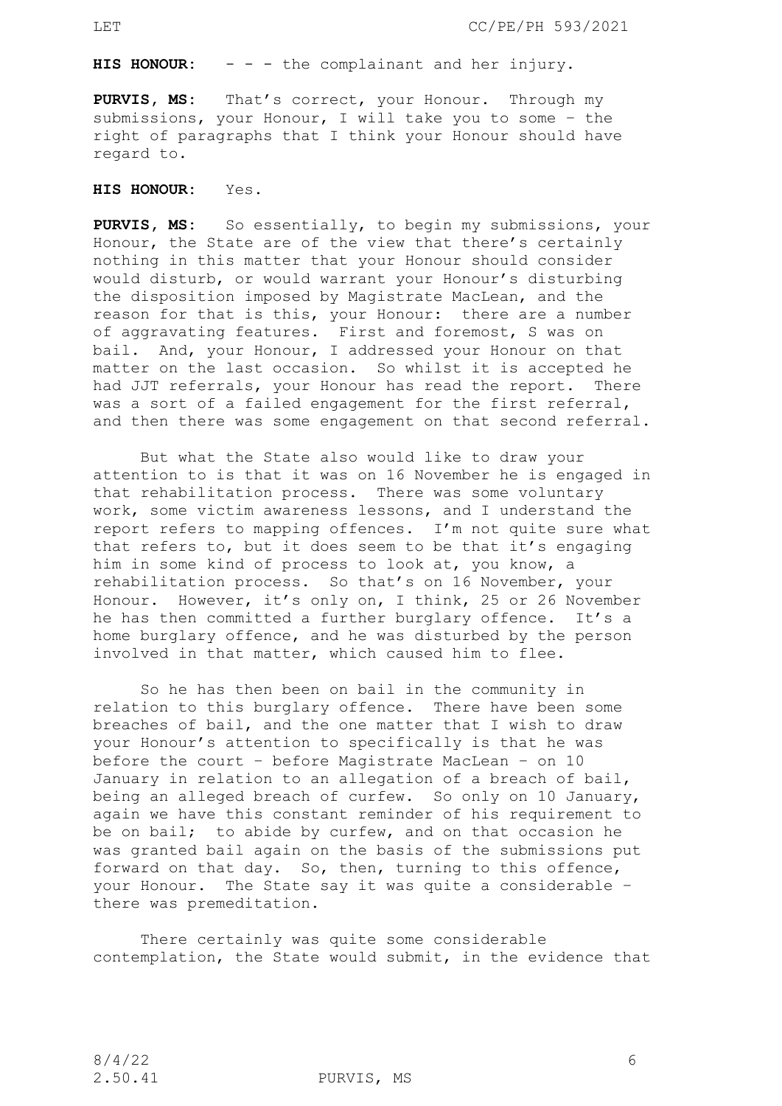**HIS HONOUR:** - - - the complainant and her injury.

**PURVIS, MS:** That's correct, your Honour. Through my submissions, your Honour, I will take you to some – the right of paragraphs that I think your Honour should have regard to.

**HIS HONOUR:** Yes.

**PURVIS, MS:** So essentially, to begin my submissions, your Honour, the State are of the view that there's certainly nothing in this matter that your Honour should consider would disturb, or would warrant your Honour's disturbing the disposition imposed by Magistrate MacLean, and the reason for that is this, your Honour: there are a number of aggravating features. First and foremost, S was on bail. And, your Honour, I addressed your Honour on that matter on the last occasion. So whilst it is accepted he had JJT referrals, your Honour has read the report. There was a sort of a failed engagement for the first referral, and then there was some engagement on that second referral.

But what the State also would like to draw your attention to is that it was on 16 November he is engaged in that rehabilitation process. There was some voluntary work, some victim awareness lessons, and I understand the report refers to mapping offences. I'm not quite sure what that refers to, but it does seem to be that it's engaging him in some kind of process to look at, you know, a rehabilitation process. So that's on 16 November, your Honour. However, it's only on, I think, 25 or 26 November he has then committed a further burglary offence. It's a home burglary offence, and he was disturbed by the person involved in that matter, which caused him to flee.

So he has then been on bail in the community in relation to this burglary offence. There have been some breaches of bail, and the one matter that I wish to draw your Honour's attention to specifically is that he was before the court – before Magistrate MacLean – on 10 January in relation to an allegation of a breach of bail, being an alleged breach of curfew. So only on 10 January, again we have this constant reminder of his requirement to be on bail; to abide by curfew, and on that occasion he was granted bail again on the basis of the submissions put forward on that day. So, then, turning to this offence, your Honour. The State say it was quite a considerable – there was premeditation.

There certainly was quite some considerable contemplation, the State would submit, in the evidence that

2.50.41 PURVIS, MS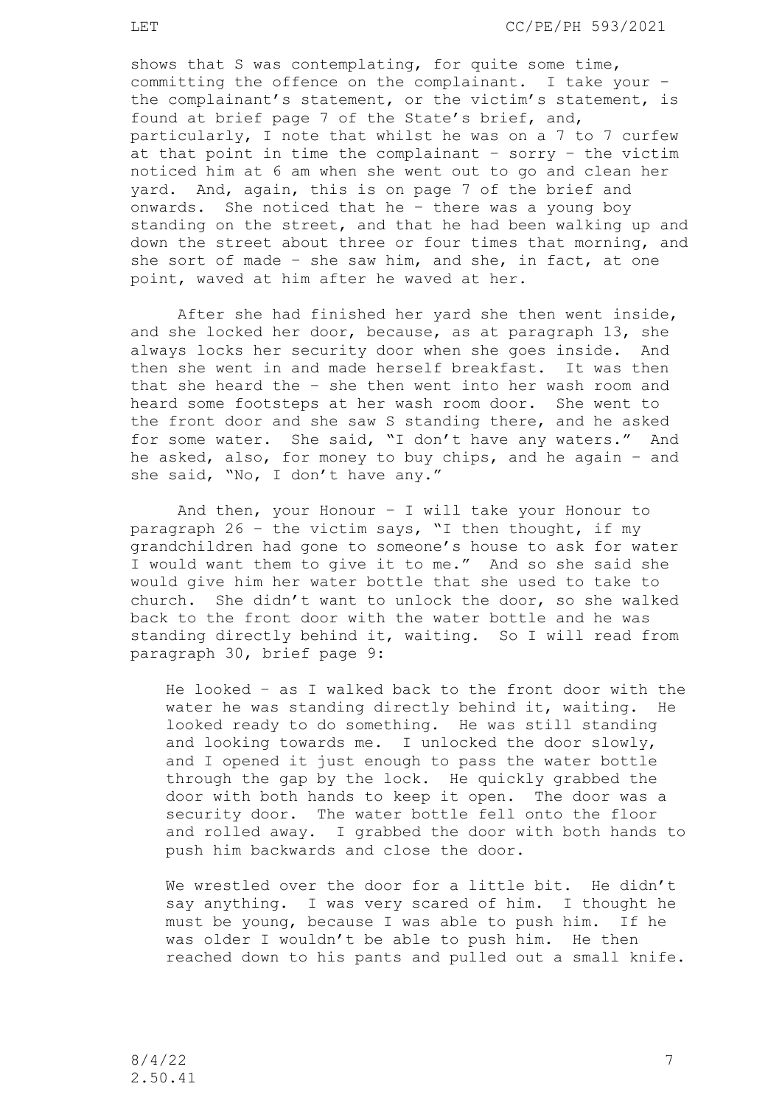shows that S was contemplating, for quite some time, committing the offence on the complainant. I take your – the complainant's statement, or the victim's statement, is found at brief page 7 of the State's brief, and, particularly, I note that whilst he was on a 7 to 7 curfew at that point in time the complainant – sorry – the victim noticed him at 6 am when she went out to go and clean her yard. And, again, this is on page 7 of the brief and onwards. She noticed that he – there was a young boy standing on the street, and that he had been walking up and down the street about three or four times that morning, and she sort of made – she saw him, and she, in fact, at one point, waved at him after he waved at her.

After she had finished her yard she then went inside, and she locked her door, because, as at paragraph 13, she always locks her security door when she goes inside. And then she went in and made herself breakfast. It was then that she heard the – she then went into her wash room and heard some footsteps at her wash room door. She went to the front door and she saw S standing there, and he asked for some water. She said, "I don't have any waters." And he asked, also, for money to buy chips, and he again – and she said, "No, I don't have any."

And then, your Honour – I will take your Honour to paragraph 26 – the victim says, "I then thought, if my grandchildren had gone to someone's house to ask for water I would want them to give it to me." And so she said she would give him her water bottle that she used to take to church. She didn't want to unlock the door, so she walked back to the front door with the water bottle and he was standing directly behind it, waiting. So I will read from paragraph 30, brief page 9:

He looked – as I walked back to the front door with the water he was standing directly behind it, waiting. He looked ready to do something. He was still standing and looking towards me. I unlocked the door slowly, and I opened it just enough to pass the water bottle through the gap by the lock. He quickly grabbed the door with both hands to keep it open. The door was a security door. The water bottle fell onto the floor and rolled away. I grabbed the door with both hands to push him backwards and close the door.

We wrestled over the door for a little bit. He didn't say anything. I was very scared of him. I thought he must be young, because I was able to push him. If he was older I wouldn't be able to push him. He then reached down to his pants and pulled out a small knife.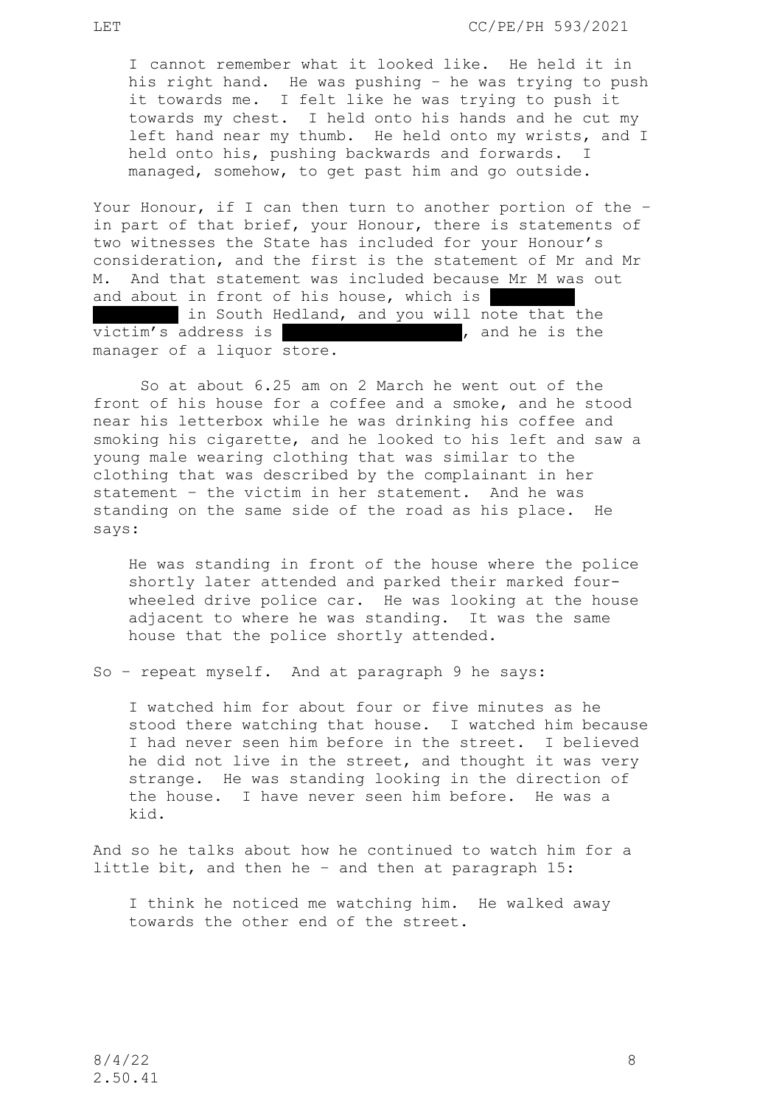I cannot remember what it looked like. He held it in his right hand. He was pushing – he was trying to push it towards me. I felt like he was trying to push it towards my chest. I held onto his hands and he cut my left hand near my thumb. He held onto my wrists, and I held onto his, pushing backwards and forwards. I managed, somehow, to get past him and go outside.

Your Honour, if I can then turn to another portion of the – in part of that brief, your Honour, there is statements of two witnesses the State has included for your Honour's consideration, and the first is the statement of Mr and Mr M. And that statement was included because Mr M was out and about in front of his house, which is in South Hedland, and you will note that the  $victim's$  address is  $\begin{bmatrix} 1 & 0 & 0 \\ 0 & 0 & 0 \\ 0 & 0 & 0 \\ 0 & 0 & 0 \\ 0 & 0 & 0 \\ 0 & 0 & 0 \\ 0 & 0 & 0 \\ 0 & 0 & 0 \\ 0 & 0 & 0 \\ 0 & 0 & 0 \\ 0 & 0 & 0 \\ 0 & 0 & 0 \\ 0 & 0 & 0 \\ 0 & 0 & 0 \\ 0 & 0 & 0 \\ 0 & 0 & 0 \\ 0 & 0 & 0 \\ 0 & 0 & 0 \\ 0 & 0 & 0 \\ 0 & 0 & 0 & 0 \\ 0 & 0 & 0 & 0 \\$ manager of a liquor store.

So at about 6.25 am on 2 March he went out of the front of his house for a coffee and a smoke, and he stood near his letterbox while he was drinking his coffee and smoking his cigarette, and he looked to his left and saw a young male wearing clothing that was similar to the clothing that was described by the complainant in her statement – the victim in her statement. And he was standing on the same side of the road as his place. He says:

He was standing in front of the house where the police shortly later attended and parked their marked fourwheeled drive police car. He was looking at the house adjacent to where he was standing. It was the same house that the police shortly attended.

So – repeat myself. And at paragraph 9 he says:

I watched him for about four or five minutes as he stood there watching that house. I watched him because I had never seen him before in the street. I believed he did not live in the street, and thought it was very strange. He was standing looking in the direction of the house. I have never seen him before. He was a kid.

And so he talks about how he continued to watch him for a little bit, and then he – and then at paragraph 15:

I think he noticed me watching him. He walked away towards the other end of the street.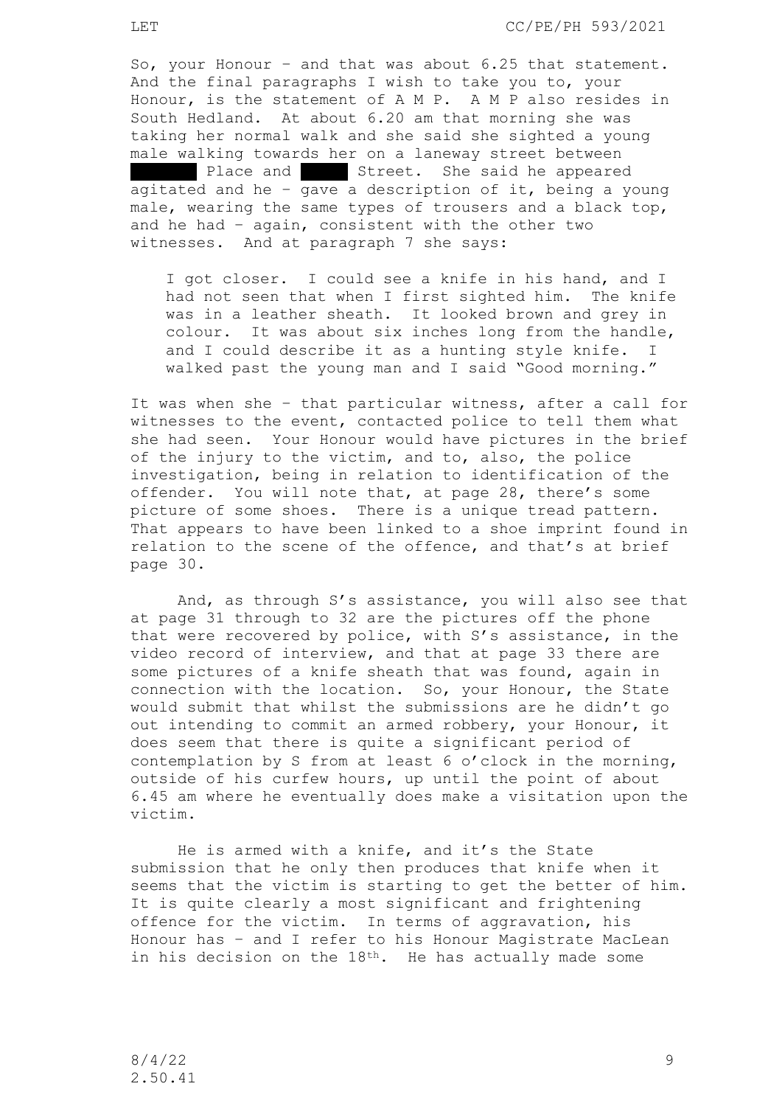LET CC/PE/PH 593/2021

So, your Honour – and that was about 6.25 that statement. And the final paragraphs I wish to take you to, your Honour, is the statement of A M P. A M P also resides in South Hedland. At about 6.20 am that morning she was taking her normal walk and she said she sighted a young male walking towards her on a laneway street between Place and Street. She said he appeared agitated and he – gave a description of it, being a young male, wearing the same types of trousers and a black top, and he had – again, consistent with the other two witnesses. And at paragraph 7 she says:

I got closer. I could see a knife in his hand, and I had not seen that when I first sighted him. The knife was in a leather sheath. It looked brown and grey in colour. It was about six inches long from the handle, and I could describe it as a hunting style knife. I walked past the young man and I said "Good morning."

It was when she – that particular witness, after a call for witnesses to the event, contacted police to tell them what she had seen. Your Honour would have pictures in the brief of the injury to the victim, and to, also, the police investigation, being in relation to identification of the offender. You will note that, at page 28, there's some picture of some shoes. There is a unique tread pattern. That appears to have been linked to a shoe imprint found in relation to the scene of the offence, and that's at brief page 30.

And, as through S's assistance, you will also see that at page 31 through to 32 are the pictures off the phone that were recovered by police, with S's assistance, in the video record of interview, and that at page 33 there are some pictures of a knife sheath that was found, again in connection with the location. So, your Honour, the State would submit that whilst the submissions are he didn't go out intending to commit an armed robbery, your Honour, it does seem that there is quite a significant period of contemplation by S from at least 6 o'clock in the morning, outside of his curfew hours, up until the point of about 6.45 am where he eventually does make a visitation upon the victim.

He is armed with a knife, and it's the State submission that he only then produces that knife when it seems that the victim is starting to get the better of him. It is quite clearly a most significant and frightening offence for the victim. In terms of aggravation, his Honour has – and I refer to his Honour Magistrate MacLean in his decision on the 18<sup>th</sup>. He has actually made some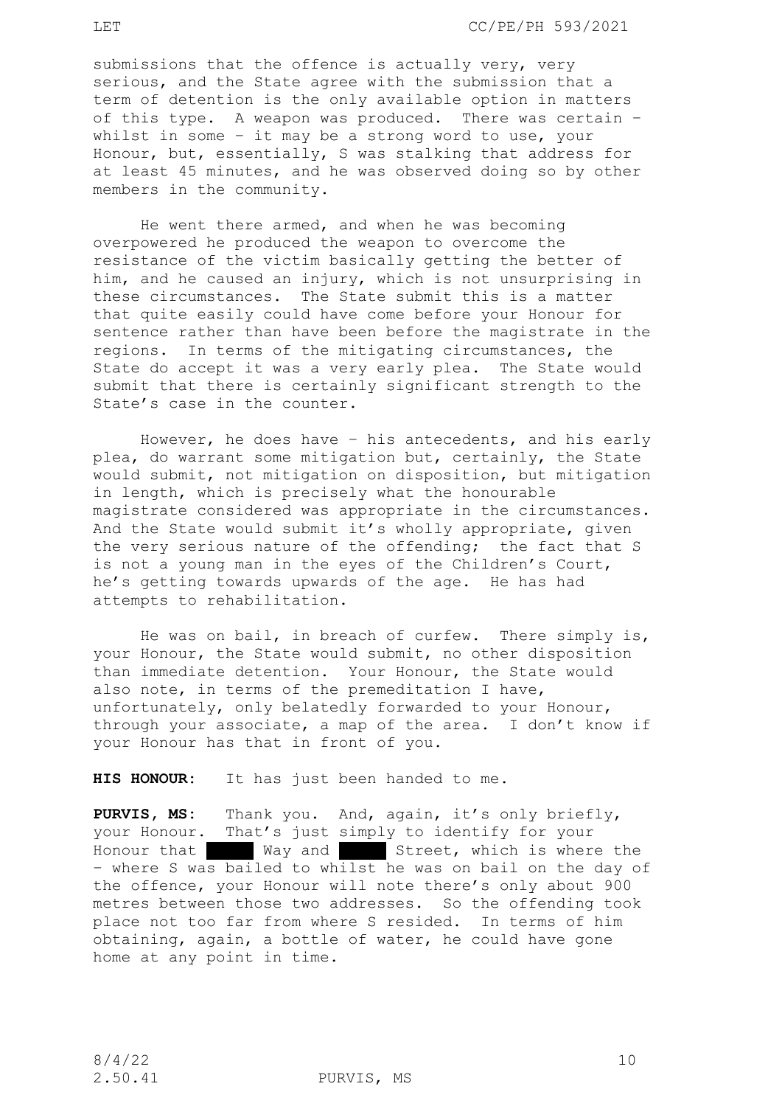submissions that the offence is actually very, very serious, and the State agree with the submission that a term of detention is the only available option in matters of this type. A weapon was produced. There was certain – whilst in some – it may be a strong word to use, your Honour, but, essentially, S was stalking that address for at least 45 minutes, and he was observed doing so by other members in the community.

He went there armed, and when he was becoming overpowered he produced the weapon to overcome the resistance of the victim basically getting the better of him, and he caused an injury, which is not unsurprising in these circumstances. The State submit this is a matter that quite easily could have come before your Honour for sentence rather than have been before the magistrate in the regions. In terms of the mitigating circumstances, the State do accept it was a very early plea. The State would submit that there is certainly significant strength to the State's case in the counter.

However, he does have – his antecedents, and his early plea, do warrant some mitigation but, certainly, the State would submit, not mitigation on disposition, but mitigation in length, which is precisely what the honourable magistrate considered was appropriate in the circumstances. And the State would submit it's wholly appropriate, given the very serious nature of the offending; the fact that S is not a young man in the eyes of the Children's Court, he's getting towards upwards of the age. He has had attempts to rehabilitation.

He was on bail, in breach of curfew. There simply is, your Honour, the State would submit, no other disposition than immediate detention. Your Honour, the State would also note, in terms of the premeditation I have, unfortunately, only belatedly forwarded to your Honour, through your associate, a map of the area. I don't know if your Honour has that in front of you.

**HIS HONOUR:** It has just been handed to me.

**PURVIS, MS:** Thank you. And, again, it's only briefly, your Honour. That's just simply to identify for your Honour that Way and Street, which is where the – where S was bailed to whilst he was on bail on the day of the offence, your Honour will note there's only about 900 metres between those two addresses. So the offending took place not too far from where S resided. In terms of him obtaining, again, a bottle of water, he could have gone home at any point in time.

2.50.41 PURVIS, MS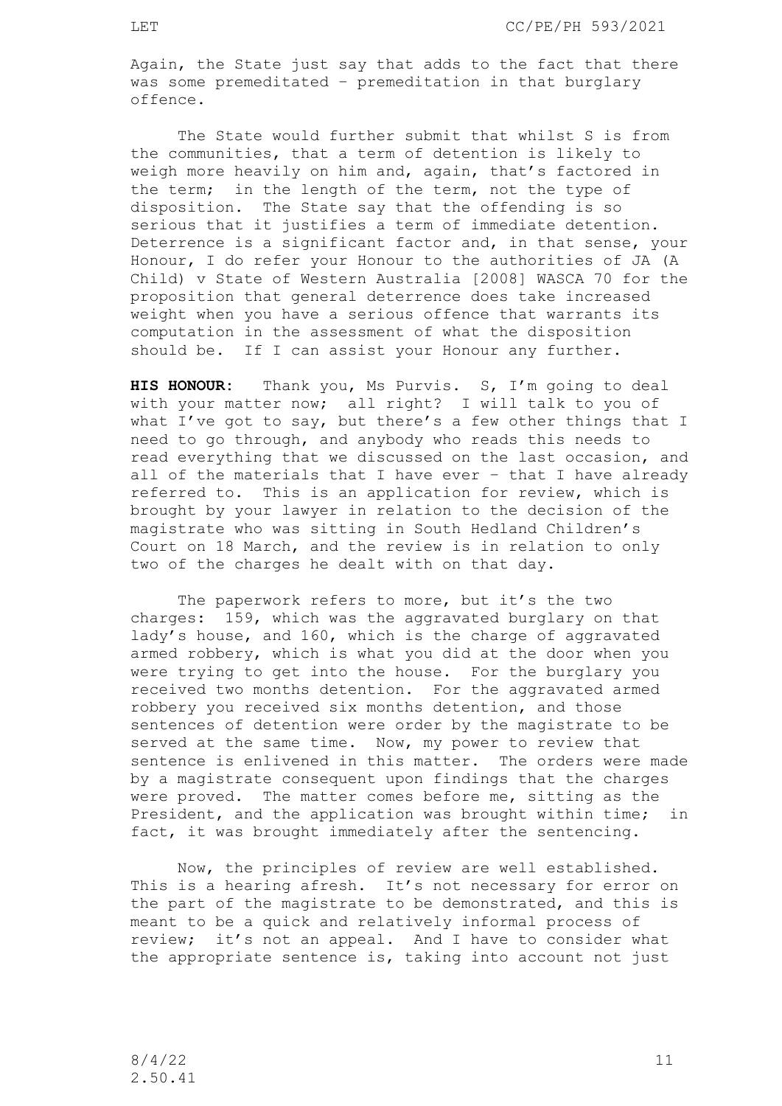Again, the State just say that adds to the fact that there was some premeditated – premeditation in that burglary offence.

The State would further submit that whilst S is from the communities, that a term of detention is likely to weigh more heavily on him and, again, that's factored in the term; in the length of the term, not the type of disposition. The State say that the offending is so serious that it justifies a term of immediate detention. Deterrence is a significant factor and, in that sense, your Honour, I do refer your Honour to the authorities of JA (A Child) v State of Western Australia [2008] WASCA 70 for the proposition that general deterrence does take increased weight when you have a serious offence that warrants its computation in the assessment of what the disposition should be. If I can assist your Honour any further.

**HIS HONOUR:** Thank you, Ms Purvis. S, I'm going to deal with your matter now; all right? I will talk to you of what I've got to say, but there's a few other things that I need to go through, and anybody who reads this needs to read everything that we discussed on the last occasion, and all of the materials that I have ever – that I have already referred to. This is an application for review, which is brought by your lawyer in relation to the decision of the magistrate who was sitting in South Hedland Children's Court on 18 March, and the review is in relation to only two of the charges he dealt with on that day.

The paperwork refers to more, but it's the two charges: 159, which was the aggravated burglary on that lady's house, and 160, which is the charge of aggravated armed robbery, which is what you did at the door when you were trying to get into the house. For the burglary you received two months detention. For the aggravated armed robbery you received six months detention, and those sentences of detention were order by the magistrate to be served at the same time. Now, my power to review that sentence is enlivened in this matter. The orders were made by a magistrate consequent upon findings that the charges were proved. The matter comes before me, sitting as the President, and the application was brought within time; in fact, it was brought immediately after the sentencing.

Now, the principles of review are well established. This is a hearing afresh. It's not necessary for error on the part of the magistrate to be demonstrated, and this is meant to be a quick and relatively informal process of review; it's not an appeal. And I have to consider what the appropriate sentence is, taking into account not just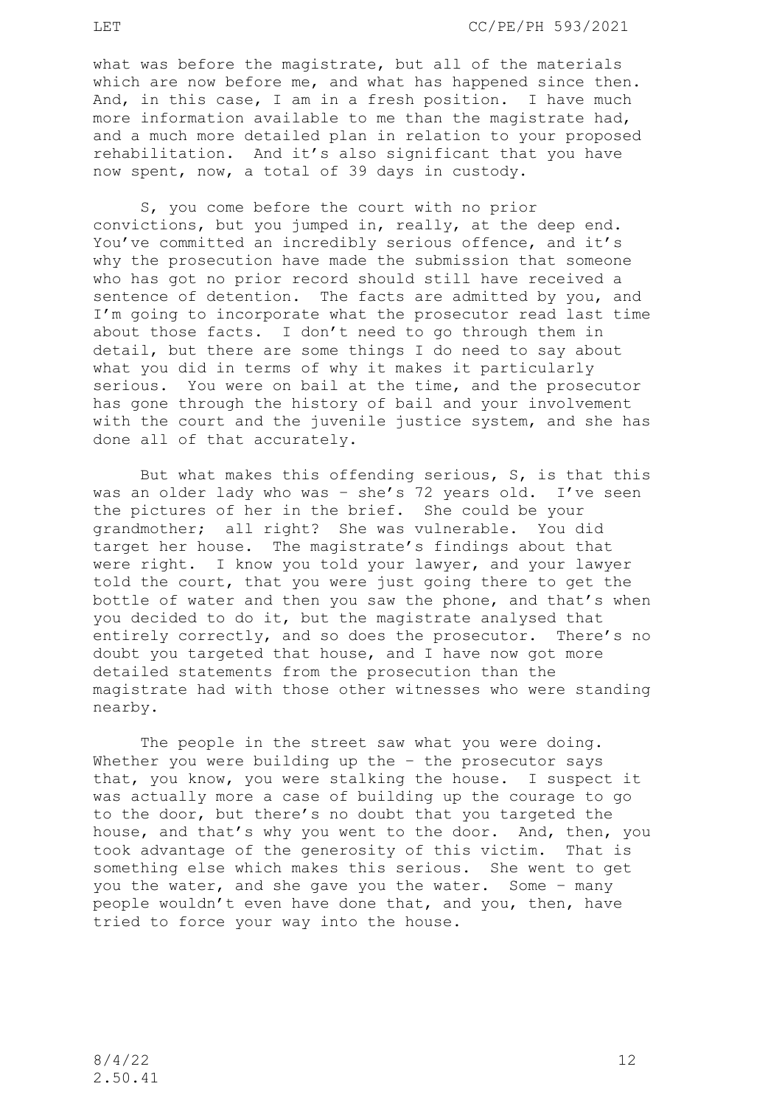what was before the magistrate, but all of the materials which are now before me, and what has happened since then. And, in this case, I am in a fresh position. I have much more information available to me than the magistrate had, and a much more detailed plan in relation to your proposed rehabilitation. And it's also significant that you have now spent, now, a total of 39 days in custody.

S, you come before the court with no prior convictions, but you jumped in, really, at the deep end. You've committed an incredibly serious offence, and it's why the prosecution have made the submission that someone who has got no prior record should still have received a sentence of detention. The facts are admitted by you, and I'm going to incorporate what the prosecutor read last time about those facts. I don't need to go through them in detail, but there are some things I do need to say about what you did in terms of why it makes it particularly serious. You were on bail at the time, and the prosecutor has gone through the history of bail and your involvement with the court and the juvenile justice system, and she has done all of that accurately.

But what makes this offending serious, S, is that this was an older lady who was – she's 72 years old. I've seen the pictures of her in the brief. She could be your grandmother; all right? She was vulnerable. You did target her house. The magistrate's findings about that were right. I know you told your lawyer, and your lawyer told the court, that you were just going there to get the bottle of water and then you saw the phone, and that's when you decided to do it, but the magistrate analysed that entirely correctly, and so does the prosecutor. There's no doubt you targeted that house, and I have now got more detailed statements from the prosecution than the magistrate had with those other witnesses who were standing nearby.

The people in the street saw what you were doing. Whether you were building up the - the prosecutor says that, you know, you were stalking the house. I suspect it was actually more a case of building up the courage to go to the door, but there's no doubt that you targeted the house, and that's why you went to the door. And, then, you took advantage of the generosity of this victim. That is something else which makes this serious. She went to get you the water, and she gave you the water. Some – many people wouldn't even have done that, and you, then, have tried to force your way into the house.

2.50.41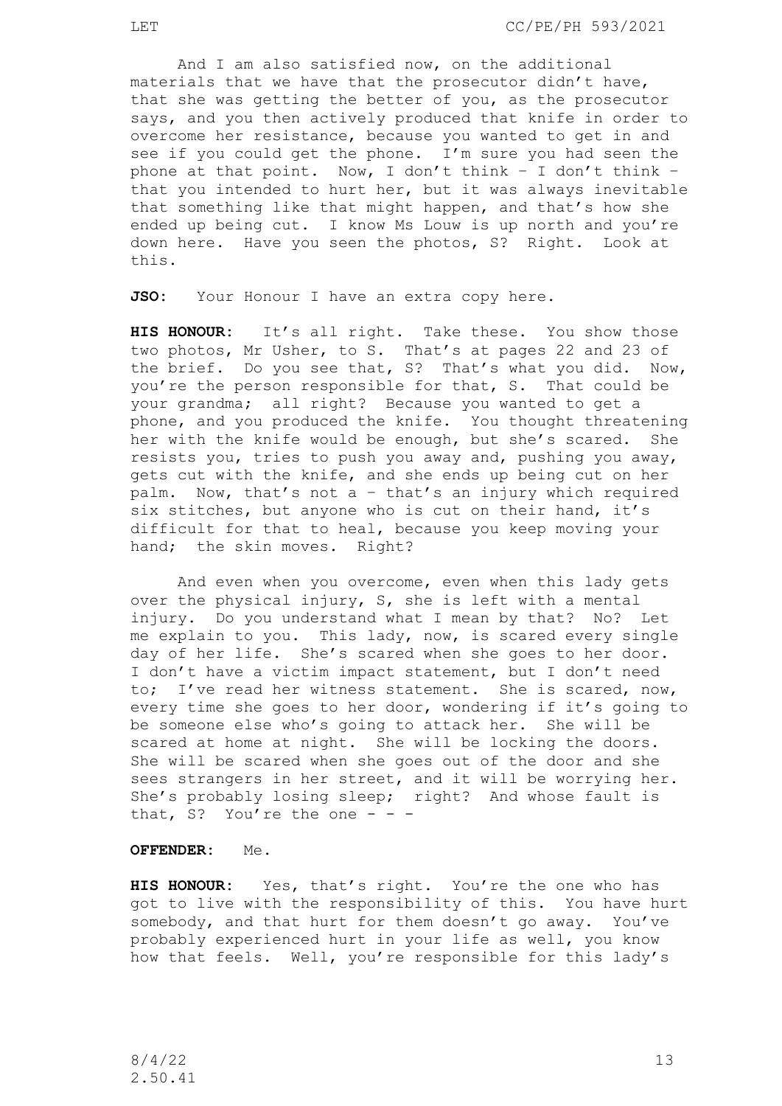And I am also satisfied now, on the additional materials that we have that the prosecutor didn't have, that she was getting the better of you, as the prosecutor says, and you then actively produced that knife in order to overcome her resistance, because you wanted to get in and see if you could get the phone. I'm sure you had seen the phone at that point. Now, I don't think – I don't think – that you intended to hurt her, but it was always inevitable that something like that might happen, and that's how she ended up being cut. I know Ms Louw is up north and you're down here. Have you seen the photos, S? Right. Look at this.

**JSO:** Your Honour I have an extra copy here.

**HIS HONOUR:** It's all right. Take these. You show those two photos, Mr Usher, to S. That's at pages 22 and 23 of the brief. Do you see that, S? That's what you did. Now, you're the person responsible for that, S. That could be your grandma; all right? Because you wanted to get a phone, and you produced the knife. You thought threatening her with the knife would be enough, but she's scared. She resists you, tries to push you away and, pushing you away, gets cut with the knife, and she ends up being cut on her palm. Now, that's not a – that's an injury which required six stitches, but anyone who is cut on their hand, it's difficult for that to heal, because you keep moving your hand; the skin moves. Right?

And even when you overcome, even when this lady gets over the physical injury, S, she is left with a mental injury. Do you understand what I mean by that? No? Let me explain to you. This lady, now, is scared every single day of her life. She's scared when she goes to her door. I don't have a victim impact statement, but I don't need to; I've read her witness statement. She is scared, now, every time she goes to her door, wondering if it's going to be someone else who's going to attack her. She will be scared at home at night. She will be locking the doors. She will be scared when she goes out of the door and she sees strangers in her street, and it will be worrying her. She's probably losing sleep; right? And whose fault is that, S? You're the one  $- -$ 

#### **OFFENDER:** Me.

**HIS HONOUR:** Yes, that's right. You're the one who has got to live with the responsibility of this. You have hurt somebody, and that hurt for them doesn't go away. You've probably experienced hurt in your life as well, you know how that feels. Well, you're responsible for this lady's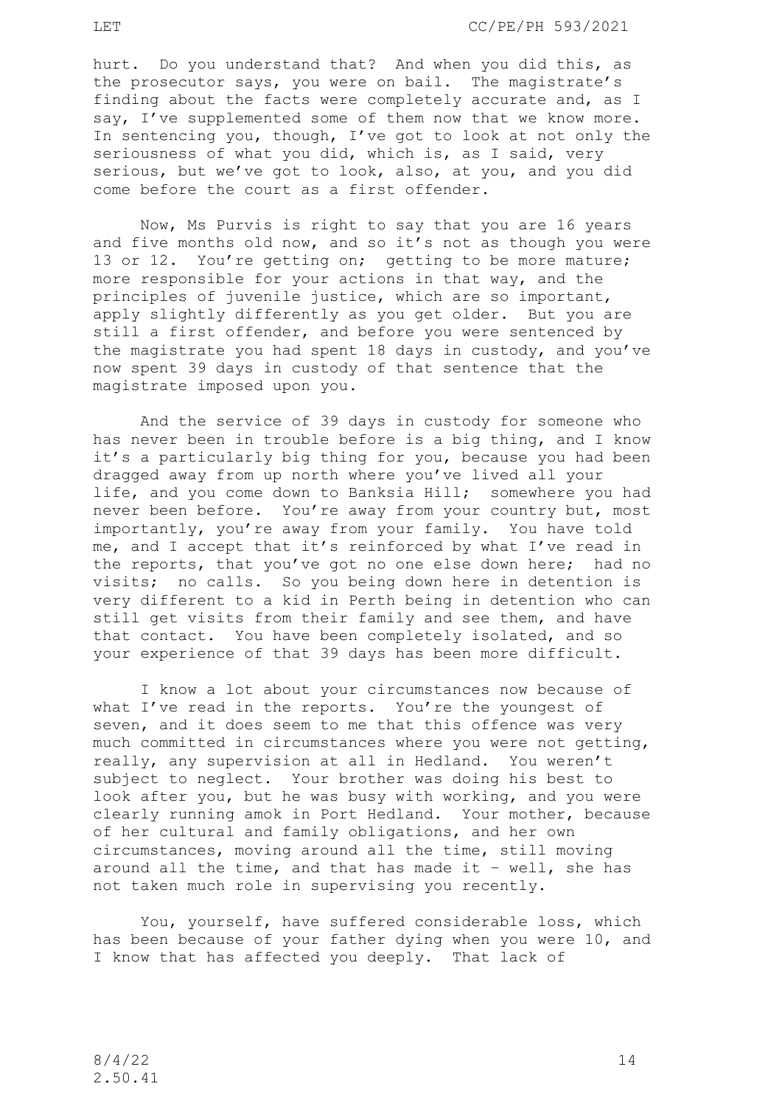hurt. Do you understand that? And when you did this, as the prosecutor says, you were on bail. The magistrate's finding about the facts were completely accurate and, as I say, I've supplemented some of them now that we know more. In sentencing you, though, I've got to look at not only the seriousness of what you did, which is, as I said, very serious, but we've got to look, also, at you, and you did come before the court as a first offender.

Now, Ms Purvis is right to say that you are 16 years and five months old now, and so it's not as though you were 13 or 12. You're getting on; getting to be more mature; more responsible for your actions in that way, and the principles of juvenile justice, which are so important, apply slightly differently as you get older. But you are still a first offender, and before you were sentenced by the magistrate you had spent 18 days in custody, and you've now spent 39 days in custody of that sentence that the magistrate imposed upon you.

And the service of 39 days in custody for someone who has never been in trouble before is a big thing, and I know it's a particularly big thing for you, because you had been dragged away from up north where you've lived all your life, and you come down to Banksia Hill; somewhere you had never been before. You're away from your country but, most importantly, you're away from your family. You have told me, and I accept that it's reinforced by what I've read in the reports, that you've got no one else down here; had no visits; no calls. So you being down here in detention is very different to a kid in Perth being in detention who can still get visits from their family and see them, and have that contact. You have been completely isolated, and so your experience of that 39 days has been more difficult.

I know a lot about your circumstances now because of what I've read in the reports. You're the youngest of seven, and it does seem to me that this offence was very much committed in circumstances where you were not getting, really, any supervision at all in Hedland. You weren't subject to neglect. Your brother was doing his best to look after you, but he was busy with working, and you were clearly running amok in Port Hedland. Your mother, because of her cultural and family obligations, and her own circumstances, moving around all the time, still moving around all the time, and that has made it – well, she has not taken much role in supervising you recently.

You, yourself, have suffered considerable loss, which has been because of your father dying when you were 10, and I know that has affected you deeply. That lack of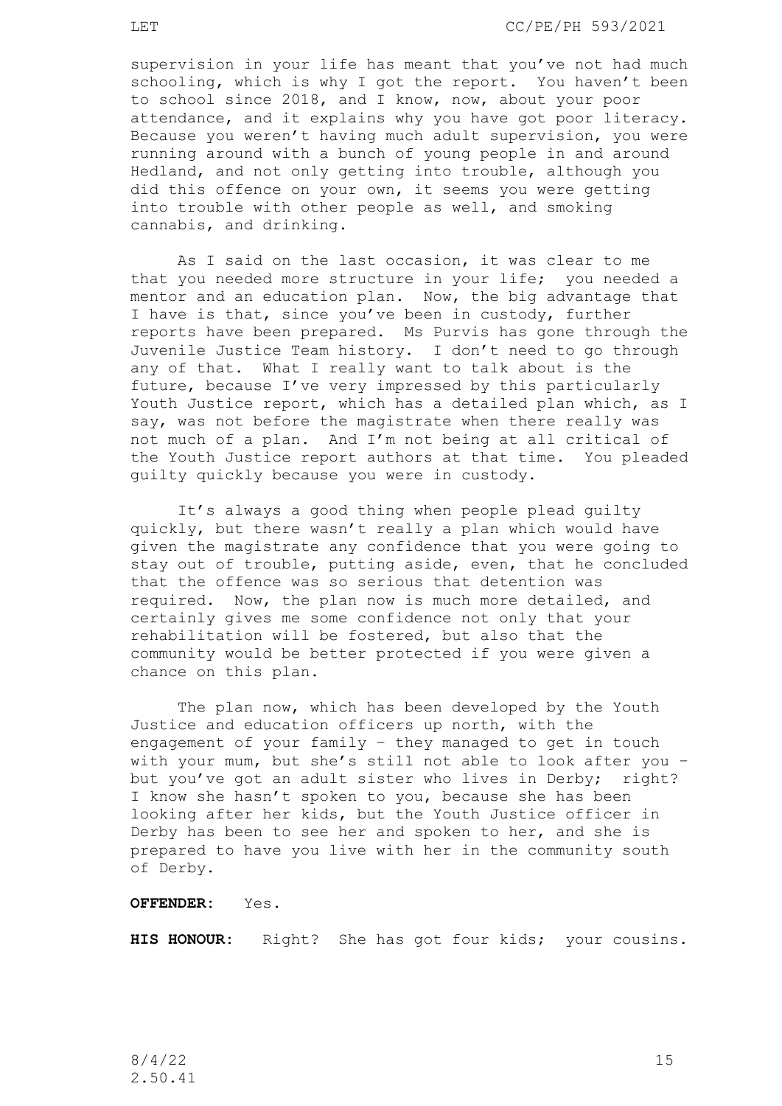supervision in your life has meant that you've not had much schooling, which is why I got the report. You haven't been to school since 2018, and I know, now, about your poor attendance, and it explains why you have got poor literacy. Because you weren't having much adult supervision, you were running around with a bunch of young people in and around Hedland, and not only getting into trouble, although you did this offence on your own, it seems you were getting into trouble with other people as well, and smoking cannabis, and drinking.

As I said on the last occasion, it was clear to me that you needed more structure in your life; you needed a mentor and an education plan. Now, the big advantage that I have is that, since you've been in custody, further reports have been prepared. Ms Purvis has gone through the Juvenile Justice Team history. I don't need to go through any of that. What I really want to talk about is the future, because I've very impressed by this particularly Youth Justice report, which has a detailed plan which, as I say, was not before the magistrate when there really was not much of a plan. And I'm not being at all critical of the Youth Justice report authors at that time. You pleaded guilty quickly because you were in custody.

It's always a good thing when people plead guilty quickly, but there wasn't really a plan which would have given the magistrate any confidence that you were going to stay out of trouble, putting aside, even, that he concluded that the offence was so serious that detention was required. Now, the plan now is much more detailed, and certainly gives me some confidence not only that your rehabilitation will be fostered, but also that the community would be better protected if you were given a chance on this plan.

The plan now, which has been developed by the Youth Justice and education officers up north, with the engagement of your family – they managed to get in touch with your mum, but she's still not able to look after you – but you've got an adult sister who lives in Derby; right? I know she hasn't spoken to you, because she has been looking after her kids, but the Youth Justice officer in Derby has been to see her and spoken to her, and she is prepared to have you live with her in the community south of Derby.

# **OFFENDER:** Yes.

**HIS HONOUR:** Right? She has got four kids; your cousins.

8/4/22 15 2.50.41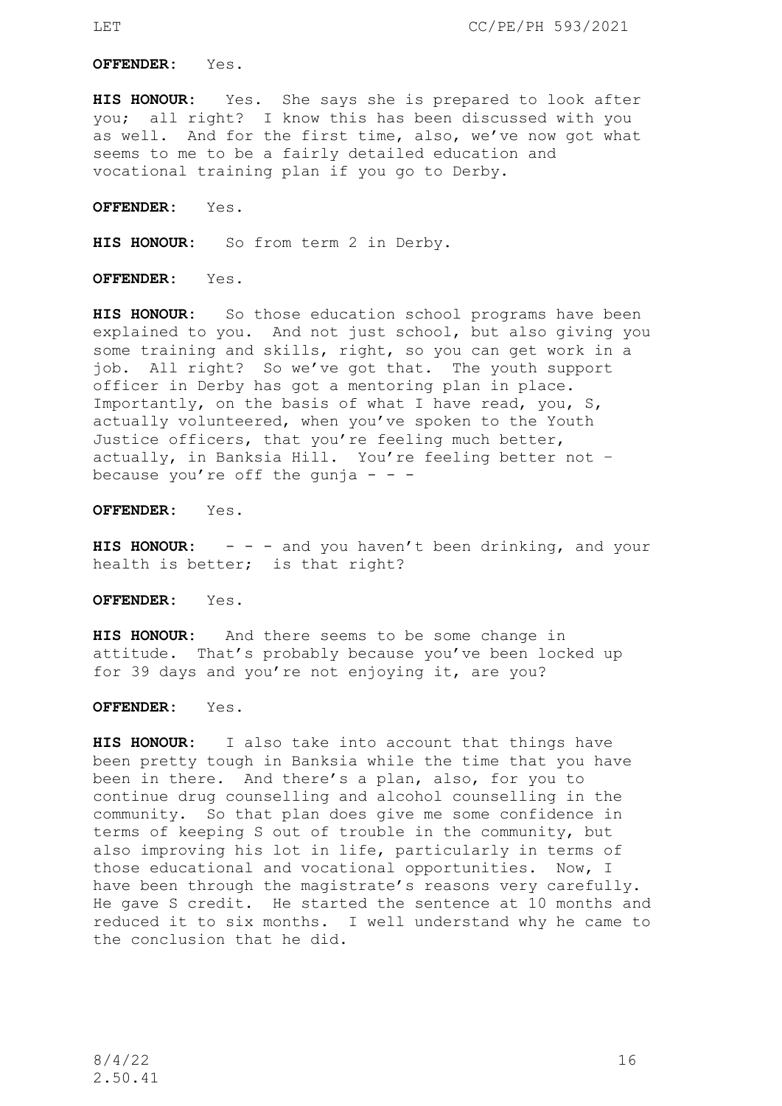**OFFENDER:** Yes.

**HIS HONOUR:** Yes. She says she is prepared to look after you; all right? I know this has been discussed with you as well. And for the first time, also, we've now got what seems to me to be a fairly detailed education and vocational training plan if you go to Derby.

**OFFENDER:** Yes.

**HIS HONOUR:** So from term 2 in Derby.

**OFFENDER:** Yes.

**HIS HONOUR:** So those education school programs have been explained to you. And not just school, but also giving you some training and skills, right, so you can get work in a job. All right? So we've got that. The youth support officer in Derby has got a mentoring plan in place. Importantly, on the basis of what I have read, you, S, actually volunteered, when you've spoken to the Youth Justice officers, that you're feeling much better, actually, in Banksia Hill. You're feeling better not – because you're off the qunja  $- -$ 

**OFFENDER:** Yes.

**HIS HONOUR:** - - - and you haven't been drinking, and your health is better; is that right?

**OFFENDER:** Yes.

**HIS HONOUR:** And there seems to be some change in attitude. That's probably because you've been locked up for 39 days and you're not enjoying it, are you?

**OFFENDER:** Yes.

**HIS HONOUR:** I also take into account that things have been pretty tough in Banksia while the time that you have been in there. And there's a plan, also, for you to continue drug counselling and alcohol counselling in the community. So that plan does give me some confidence in terms of keeping S out of trouble in the community, but also improving his lot in life, particularly in terms of those educational and vocational opportunities. Now, I have been through the magistrate's reasons very carefully. He gave S credit. He started the sentence at 10 months and reduced it to six months. I well understand why he came to the conclusion that he did.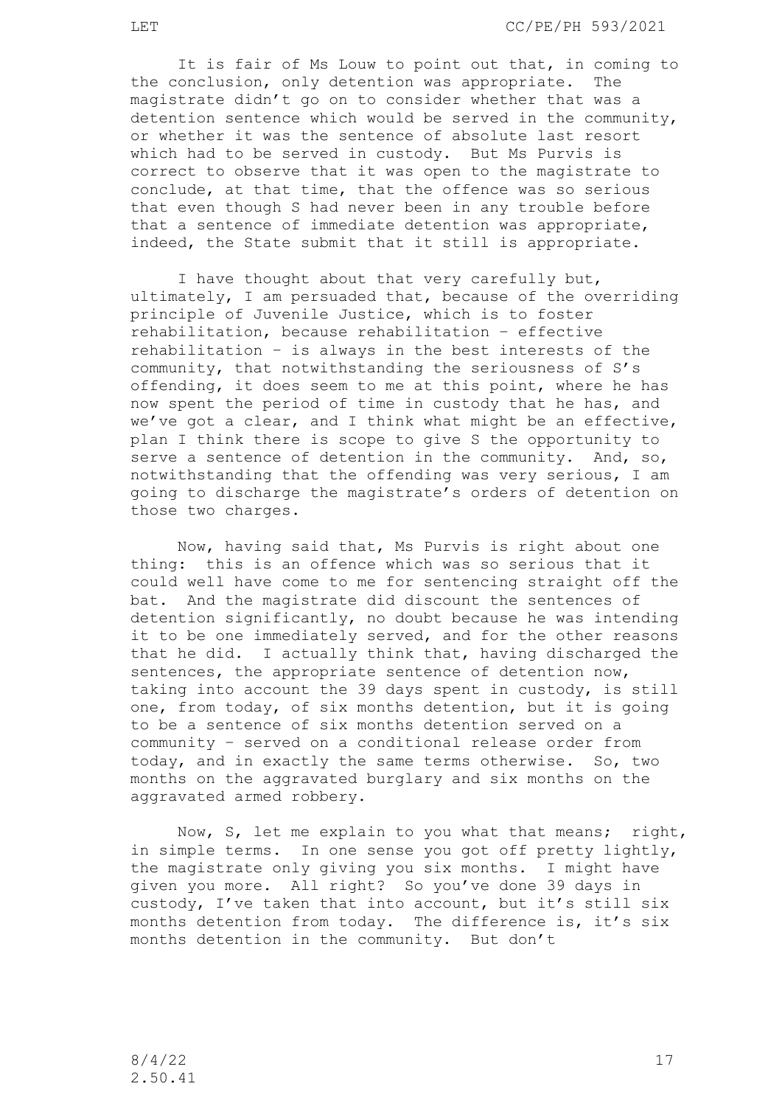It is fair of Ms Louw to point out that, in coming to the conclusion, only detention was appropriate. The magistrate didn't go on to consider whether that was a detention sentence which would be served in the community, or whether it was the sentence of absolute last resort which had to be served in custody. But Ms Purvis is correct to observe that it was open to the magistrate to conclude, at that time, that the offence was so serious that even though S had never been in any trouble before that a sentence of immediate detention was appropriate, indeed, the State submit that it still is appropriate.

I have thought about that very carefully but, ultimately, I am persuaded that, because of the overriding principle of Juvenile Justice, which is to foster rehabilitation, because rehabilitation – effective rehabilitation – is always in the best interests of the community, that notwithstanding the seriousness of S's offending, it does seem to me at this point, where he has now spent the period of time in custody that he has, and we've got a clear, and I think what might be an effective, plan I think there is scope to give S the opportunity to serve a sentence of detention in the community. And, so, notwithstanding that the offending was very serious, I am going to discharge the magistrate's orders of detention on those two charges.

Now, having said that, Ms Purvis is right about one thing: this is an offence which was so serious that it could well have come to me for sentencing straight off the bat. And the magistrate did discount the sentences of detention significantly, no doubt because he was intending it to be one immediately served, and for the other reasons that he did. I actually think that, having discharged the sentences, the appropriate sentence of detention now, taking into account the 39 days spent in custody, is still one, from today, of six months detention, but it is going to be a sentence of six months detention served on a community – served on a conditional release order from today, and in exactly the same terms otherwise. So, two months on the aggravated burglary and six months on the aggravated armed robbery.

Now, S, let me explain to you what that means; right, in simple terms. In one sense you got off pretty lightly, the magistrate only giving you six months. I might have given you more. All right? So you've done 39 days in custody, I've taken that into account, but it's still six months detention from today. The difference is, it's six months detention in the community. But don't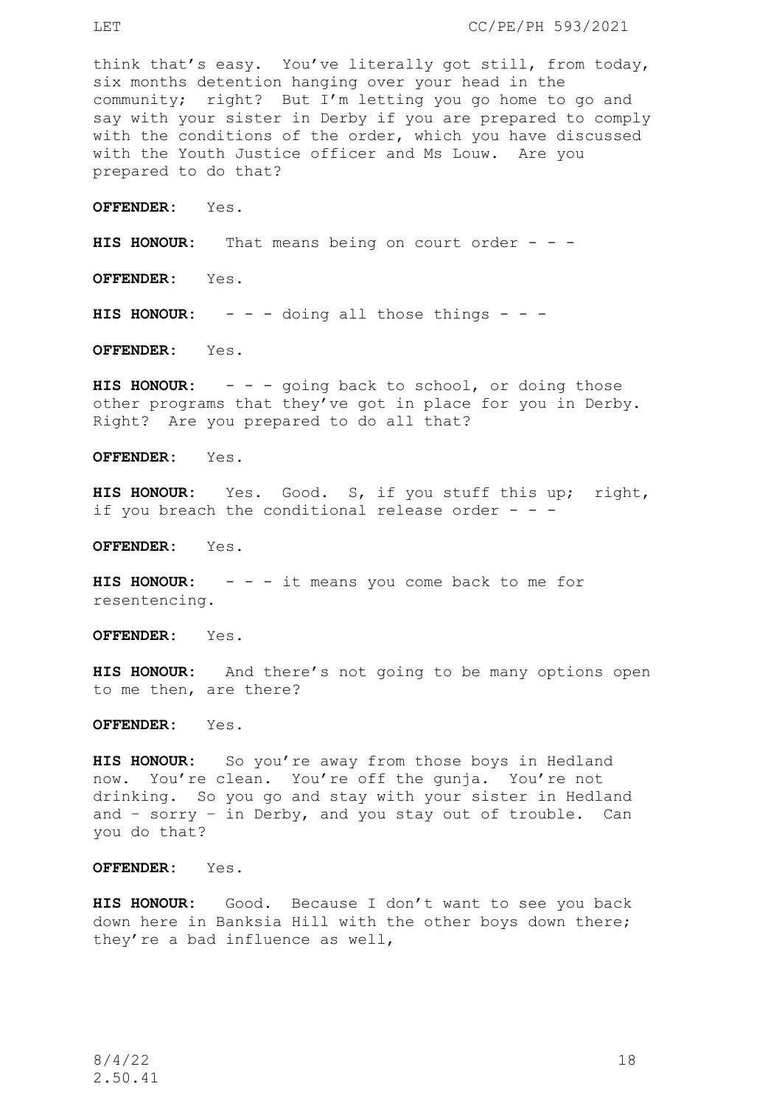think that's easy. You've literally got still, from today, six months detention hanging over your head in the community; right? But I'm letting you go home to go and say with your sister in Derby if you are prepared to comply with the conditions of the order, which you have discussed with the Youth Justice officer and Ms Louw. Are you prepared to do that?

**OFFENDER:** Yes.

**HIS HONOUR:** That means being on court order - - -

**OFFENDER:** Yes.

**HIS HONOUR:** - - - doing all those things - - -

**OFFENDER:** Yes.

**HIS HONOUR:** - - - going back to school, or doing those other programs that they've got in place for you in Derby. Right? Are you prepared to do all that?

**OFFENDER:** Yes.

**HIS HONOUR:** Yes. Good. S, if you stuff this up; right, if you breach the conditional release order  $- -$ 

**OFFENDER:** Yes.

**HIS HONOUR:** - - - it means you come back to me for resentencing.

**OFFENDER:** Yes.

**HIS HONOUR:** And there's not going to be many options open to me then, are there?

**OFFENDER:** Yes.

**HIS HONOUR:** So you're away from those boys in Hedland now. You're clean. You're off the gunja. You're not drinking. So you go and stay with your sister in Hedland and – sorry – in Derby, and you stay out of trouble. Can you do that?

**OFFENDER:** Yes.

**HIS HONOUR:** Good. Because I don't want to see you back down here in Banksia Hill with the other boys down there; they're a bad influence as well,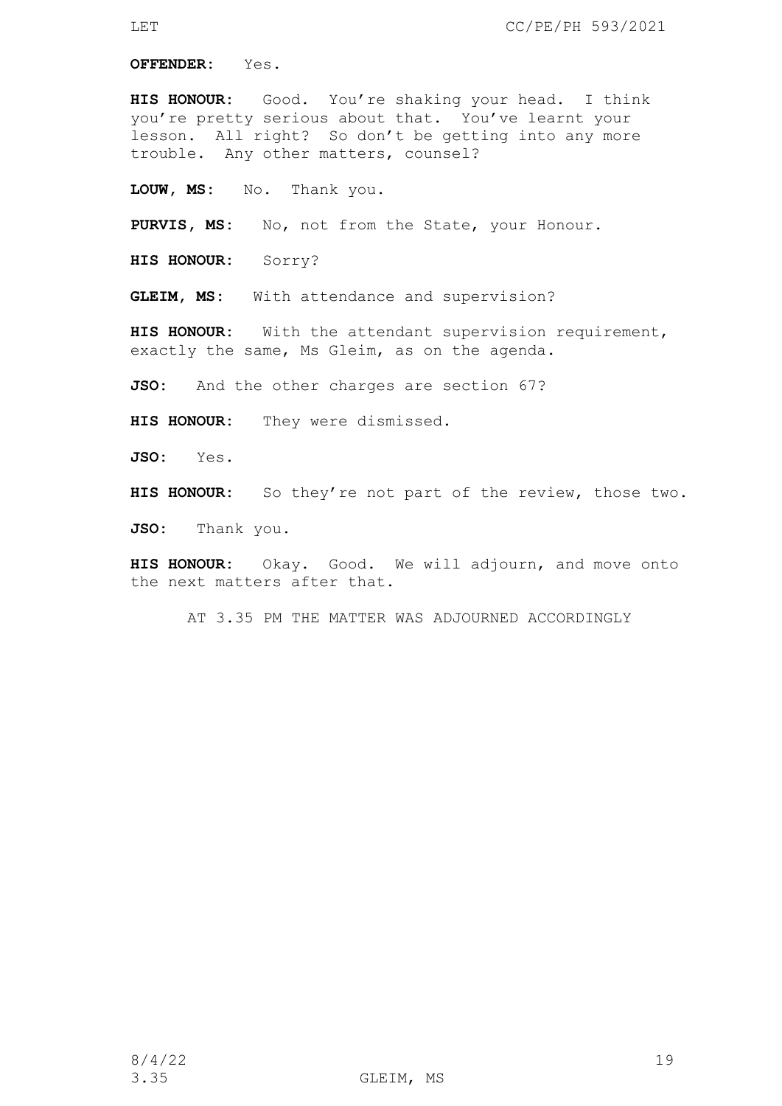**OFFENDER:** Yes.

**HIS HONOUR:** Good. You're shaking your head. I think you're pretty serious about that. You've learnt your lesson. All right? So don't be getting into any more trouble. Any other matters, counsel?

**LOUW, MS:** No. Thank you.

**PURVIS, MS:** No, not from the State, your Honour.

**HIS HONOUR:** Sorry?

**GLEIM, MS:** With attendance and supervision?

**HIS HONOUR:** With the attendant supervision requirement, exactly the same, Ms Gleim, as on the agenda.

**JSO:** And the other charges are section 67?

**HIS HONOUR:** They were dismissed.

**JSO:** Yes.

**HIS HONOUR:** So they're not part of the review, those two.

JSO: Thank you.

**HIS HONOUR:** Okay. Good. We will adjourn, and move onto the next matters after that.

AT 3.35 PM THE MATTER WAS ADJOURNED ACCORDINGLY